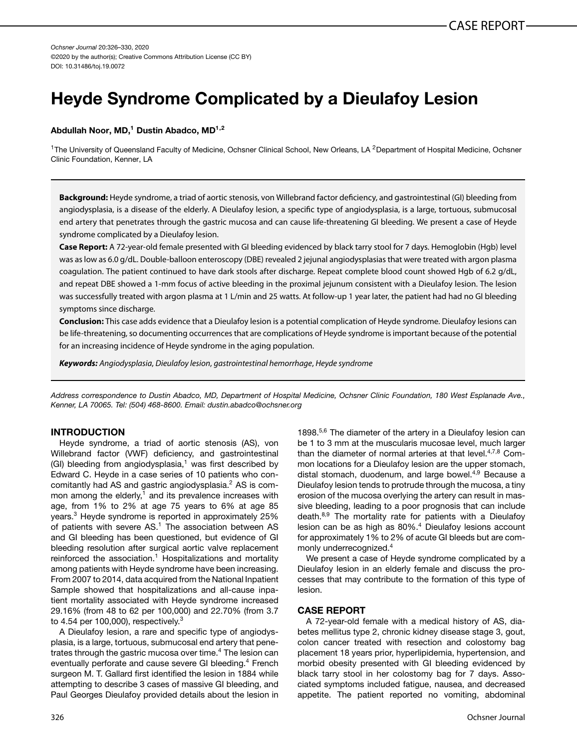*Ochsner Journal* 20:326–330, 2020 ©2020 by the author(s); Creative Commons Attribution License (CC BY) DOI: 10.31486/toj.19.0072

# **Heyde Syndrome Complicated by a Dieulafoy Lesion**

### **Abdullah Noor, MD,1 Dustin Abadco, MD1,2**

<sup>1</sup>The University of Queensland Faculty of Medicine, Ochsner Clinical School, New Orleans, LA <sup>2</sup>Department of Hospital Medicine, Ochsner Clinic Foundation, Kenner, LA

**Background:** Heyde syndrome, a triad of aortic stenosis, von Willebrand factor deficiency, and gastrointestinal (GI) bleeding from angiodysplasia, is a disease of the elderly. A Dieulafoy lesion, a specific type of angiodysplasia, is a large, tortuous, submucosal end artery that penetrates through the gastric mucosa and can cause life-threatening GI bleeding. We present a case of Heyde syndrome complicated by a Dieulafoy lesion.

**Case Report:** A 72-year-old female presented with GI bleeding evidenced by black tarry stool for 7 days. Hemoglobin (Hgb) level was as low as 6.0 g/dL. Double-balloon enteroscopy (DBE) revealed 2 jejunal angiodysplasias that were treated with argon plasma coagulation. The patient continued to have dark stools after discharge. Repeat complete blood count showed Hgb of 6.2 g/dL, and repeat DBE showed a 1-mm focus of active bleeding in the proximal jejunum consistent with a Dieulafoy lesion. The lesion was successfully treated with argon plasma at 1 L/min and 25 watts. At follow-up 1 year later, the patient had had no GI bleeding symptoms since discharge.

**Conclusion:** This case adds evidence that a Dieulafoy lesion is a potential complication of Heyde syndrome. Dieulafoy lesions can be life-threatening, so documenting occurrences that are complications of Heyde syndrome is important because of the potential for an increasing incidence of Heyde syndrome in the aging population.

*Keywords: Angiodysplasia*, *Dieulafoy lesion*, *gastrointestinal hemorrhage*, *Heyde syndrome*

*Address correspondence to Dustin Abadco, MD, Department of Hospital Medicine, Ochsner Clinic Foundation, 180 West Esplanade Ave., Kenner, LA 70065. Tel: (504) 468-8600. Email: [dustin.abadco@ochsner.org](mailto:dustin.abadco@ochsner.org)*

# **INTRODUCTION**

Heyde syndrome, a triad of aortic stenosis (AS), von Willebrand factor (VWF) deficiency, and gastrointestinal (GI) bleeding from angiodysplasia,<sup>1</sup> was first described by Edward C. Heyde in a case series of 10 patients who concomitantly had AS and gastric angiodysplasia.[2](#page-2-0) AS is common among the elderly, $1$  and its prevalence increases with age, from 1% to 2% at age 75 years to 6% at age 85 years.[3](#page-2-0) Heyde syndrome is reported in approximately 25% of patients with severe AS.<sup>1</sup> The association between AS and GI bleeding has been questioned, but evidence of GI bleeding resolution after surgical aortic valve replacement reinforced the association. $1$  Hospitalizations and mortality among patients with Heyde syndrome have been increasing. From 2007 to 2014, data acquired from the National Inpatient Sample showed that hospitalizations and all-cause inpatient mortality associated with Heyde syndrome increased 29.16% (from 48 to 62 per 100,000) and 22.70% (from 3.7 to 4.54 per 100,000), respectively. $3$ 

A Dieulafoy lesion, a rare and specific type of angiodysplasia, is a large, tortuous, submucosal end artery that penetrates through the gastric mucosa over time.<sup>4</sup> The lesion can eventually perforate and cause severe GI bleeding.<sup>[4](#page-2-0)</sup> French surgeon M. T. Gallard first identified the lesion in 1884 while attempting to describe 3 cases of massive GI bleeding, and Paul Georges Dieulafoy provided details about the lesion in

1898.<sup>5,6</sup> The diameter of the artery in a Dieulafoy lesion can be 1 to 3 mm at the muscularis mucosae level, much larger than the diameter of normal arteries at that level.<sup>4,[7,8](#page-3-0)</sup> Common locations for a Dieulafoy lesion are the upper stomach, distal stomach, duodenum, and large bowel.<sup>4[,9](#page-3-0)</sup> Because a Dieulafoy lesion tends to protrude through the mucosa, a tiny erosion of the mucosa overlying the artery can result in massive bleeding, leading to a poor prognosis that can include death.<sup>[8,9](#page-3-0)</sup> The mortality rate for patients with a Dieulafoy lesion can be as high as 80%.<sup>4</sup> Dieulafoy lesions account for approximately 1% to 2% of acute GI bleeds but are commonly underrecognized[.4](#page-2-0)

We present a case of Heyde syndrome complicated by a Dieulafoy lesion in an elderly female and discuss the processes that may contribute to the formation of this type of lesion.

# **CASE REPORT**

A 72-year-old female with a medical history of AS, diabetes mellitus type 2, chronic kidney disease stage 3, gout, colon cancer treated with resection and colostomy bag placement 18 years prior, hyperlipidemia, hypertension, and morbid obesity presented with GI bleeding evidenced by black tarry stool in her colostomy bag for 7 days. Associated symptoms included fatigue, nausea, and decreased appetite. The patient reported no vomiting, abdominal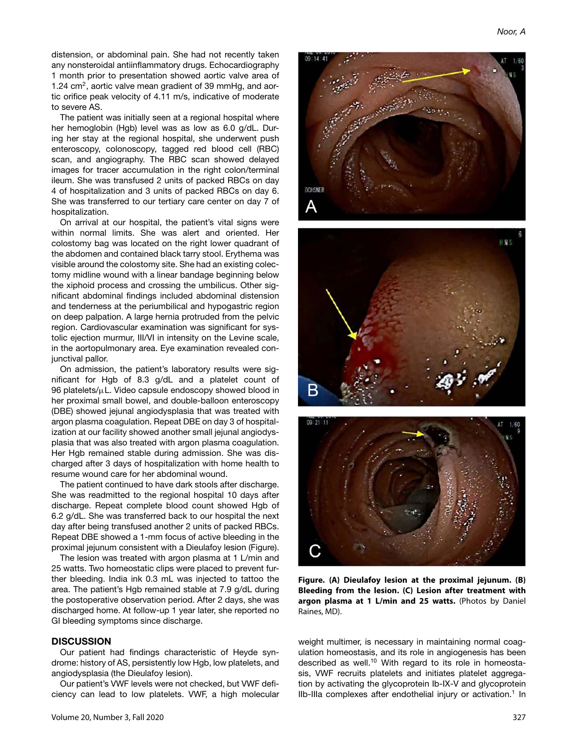distension, or abdominal pain. She had not recently taken any nonsteroidal antiinflammatory drugs. Echocardiography 1 month prior to presentation showed aortic valve area of 1.24 cm<sup>2</sup>, aortic valve mean gradient of 39 mmHg, and aortic orifice peak velocity of 4.11 m/s, indicative of moderate to severe AS.

The patient was initially seen at a regional hospital where her hemoglobin (Hgb) level was as low as 6.0 g/dL. During her stay at the regional hospital, she underwent push enteroscopy, colonoscopy, tagged red blood cell (RBC) scan, and angiography. The RBC scan showed delayed images for tracer accumulation in the right colon/terminal ileum. She was transfused 2 units of packed RBCs on day 4 of hospitalization and 3 units of packed RBCs on day 6. She was transferred to our tertiary care center on day 7 of hospitalization.

On arrival at our hospital, the patient's vital signs were within normal limits. She was alert and oriented. Her colostomy bag was located on the right lower quadrant of the abdomen and contained black tarry stool. Erythema was visible around the colostomy site. She had an existing colectomy midline wound with a linear bandage beginning below the xiphoid process and crossing the umbilicus. Other significant abdominal findings included abdominal distension and tenderness at the periumbilical and hypogastric region on deep palpation. A large hernia protruded from the pelvic region. Cardiovascular examination was significant for systolic ejection murmur, III/VI in intensity on the Levine scale, in the aortopulmonary area. Eye examination revealed conjunctival pallor.

On admission, the patient's laboratory results were significant for Hgb of 8.3 g/dL and a platelet count of 96 platelets/μL. Video capsule endoscopy showed blood in her proximal small bowel, and double-balloon enteroscopy (DBE) showed jejunal angiodysplasia that was treated with argon plasma coagulation. Repeat DBE on day 3 of hospitalization at our facility showed another small jejunal angiodysplasia that was also treated with argon plasma coagulation. Her Hgb remained stable during admission. She was discharged after 3 days of hospitalization with home health to resume wound care for her abdominal wound.

The patient continued to have dark stools after discharge. She was readmitted to the regional hospital 10 days after discharge. Repeat complete blood count showed Hgb of 6.2 g/dL. She was transferred back to our hospital the next day after being transfused another 2 units of packed RBCs. Repeat DBE showed a 1-mm focus of active bleeding in the proximal jejunum consistent with a Dieulafoy lesion (Figure).

The lesion was treated with argon plasma at 1 L/min and 25 watts. Two homeostatic clips were placed to prevent further bleeding. India ink 0.3 mL was injected to tattoo the area. The patient's Hgb remained stable at 7.9 g/dL during the postoperative observation period. After 2 days, she was discharged home. At follow-up 1 year later, she reported no GI bleeding symptoms since discharge.

#### **DISCUSSION**

Our patient had findings characteristic of Heyde syndrome: history of AS, persistently low Hgb, low platelets, and angiodysplasia (the Dieulafoy lesion).

Our patient's VWF levels were not checked, but VWF deficiency can lead to low platelets. VWF, a high molecular





weight multimer, is necessary in maintaining normal coagulation homeostasis, and its role in angiogenesis has been described as well.<sup>10</sup> With regard to its role in homeostasis, VWF recruits platelets and initiates platelet aggregation by activating the glycoprotein Ib-IX-V and glycoprotein

IIb-IIIa complexes after endothelial injury or activation.<sup>1</sup> In

**Figure. (A) Dieulafoy lesion at the proximal jejunum. (B) Bleeding from the lesion. (C) Lesion after treatment with argon plasma at 1 L/min and 25 watts.** (Photos by Daniel

Raines, MD).

OCHSNER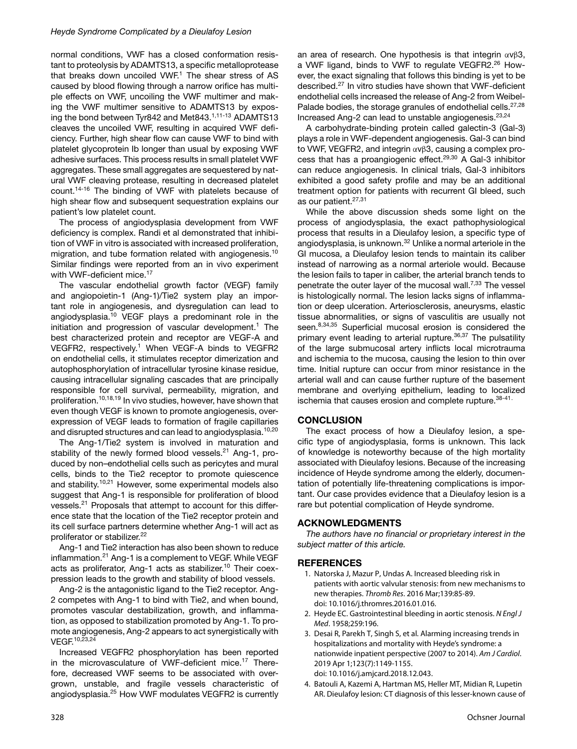<span id="page-2-0"></span>normal conditions, VWF has a closed conformation resistant to proteolysis by ADAMTS13, a specific metalloprotease that breaks down uncoiled VWF. $1$  The shear stress of AS caused by blood flowing through a narrow orifice has multiple effects on VWF, uncoiling the VWF multimer and making the VWF multimer sensitive to ADAMTS13 by expos-ing the bond between Tyr842 and Met843.<sup>1[,11-13](#page-3-0)</sup> ADAMTS13 cleaves the uncoiled VWF, resulting in acquired VWF deficiency. Further, high shear flow can cause VWF to bind with platelet glycoprotein Ib longer than usual by exposing VWF adhesive surfaces. This process results in small platelet VWF aggregates. These small aggregates are sequestered by natural VWF cleaving protease, resulting in decreased platelet count.[14-16](#page-3-0) The binding of VWF with platelets because of high shear flow and subsequent sequestration explains our patient's low platelet count.

The process of angiodysplasia development from VWF deficiency is complex. Randi et al demonstrated that inhibition of VWF in vitro is associated with increased proliferation, migration, and tube formation related with angiogenesis.<sup>10</sup> Similar findings were reported from an in vivo experiment with VWF-deficient mice.<sup>17</sup>

The vascular endothelial growth factor (VEGF) family and angiopoietin-1 (Ang-1)/Tie2 system play an important role in angiogenesis, and dysregulation can lead to angiodysplasia[.10](#page-3-0) VEGF plays a predominant role in the initiation and progression of vascular development.<sup>1</sup> The best characterized protein and receptor are VEGF-A and VEGFR2, respectively.<sup>1</sup> When VEGF-A binds to VEGFR2 on endothelial cells, it stimulates receptor dimerization and autophosphorylation of intracellular tyrosine kinase residue, causing intracellular signaling cascades that are principally responsible for cell survival, permeability, migration, and proliferation[.10,18,19](#page-3-0) In vivo studies, however, have shown that even though VEGF is known to promote angiogenesis, overexpression of VEGF leads to formation of fragile capillaries and disrupted structures and can lead to angiodysplasia.<sup>[10,20](#page-3-0)</sup>

The Ang-1/Tie2 system is involved in maturation and stability of the newly formed blood vessels.<sup>21</sup> Ang-1, produced by non–endothelial cells such as pericytes and mural cells, binds to the Tie2 receptor to promote quiescence and stability.<sup>[10,21](#page-3-0)</sup> However, some experimental models also suggest that Ang-1 is responsible for proliferation of blood vessels.[21](#page-3-0) Proposals that attempt to account for this difference state that the location of the Tie2 receptor protein and its cell surface partners determine whether Ang-1 will act as proliferator or stabilizer.<sup>[22](#page-3-0)</sup>

Ang-1 and Tie2 interaction has also been shown to reduce inflammation[.21](#page-3-0) Ang-1 is a complement to VEGF. While VEGF acts as proliferator, Ang-1 acts as stabilizer.<sup>10</sup> Their coexpression leads to the growth and stability of blood vessels.

Ang-2 is the antagonistic ligand to the Tie2 receptor. Ang-2 competes with Ang-1 to bind with Tie2, and when bound, promotes vascular destabilization, growth, and inflammation, as opposed to stabilization promoted by Ang-1. To promote angiogenesis, Ang-2 appears to act synergistically with VEGF.<sup>10,23,24</sup>

Increased VEGFR2 phosphorylation has been reported in the microvasculature of VWF-deficient mice.<sup>[17](#page-3-0)</sup> Therefore, decreased VWF seems to be associated with overgrown, unstable, and fragile vessels characteristic of angiodysplasia[.25](#page-3-0) How VWF modulates VEGFR2 is currently

an area of research. One hypothesis is that integrin  $\alpha$ v $\beta$ 3, a VWF ligand, binds to VWF to regulate VEGFR2.<sup>26</sup> However, the exact signaling that follows this binding is yet to be described[.27](#page-3-0) In vitro studies have shown that VWF-deficient endothelial cells increased the release of Ang-2 from Weibel-Palade bodies, the storage granules of endothelial cells.<sup>27,28</sup> Increased Ang-2 can lead to unstable angiogenesis. $23,24$ 

A carbohydrate-binding protein called galectin-3 (Gal-3) plays a role in VWF-dependent angiogenesis. Gal-3 can bind to VWF, VEGFR2, and integrin αvβ3, causing a complex pro-cess that has a proangiogenic effect.<sup>[29,30](#page-3-0)</sup> A Gal-3 inhibitor can reduce angiogenesis. In clinical trials, Gal-3 inhibitors exhibited a good safety profile and may be an additional treatment option for patients with recurrent GI bleed, such as our patient.<sup>27,31</sup>

While the above discussion sheds some light on the process of angiodysplasia, the exact pathophysiological process that results in a Dieulafoy lesion, a specific type of angiodysplasia, is unknown.<sup>32</sup> Unlike a normal arteriole in the GI mucosa, a Dieulafoy lesion tends to maintain its caliber instead of narrowing as a normal arteriole would. Because the lesion fails to taper in caliber, the arterial branch tends to penetrate the outer layer of the mucosal wall. $^{7,33}$  The vessel is histologically normal. The lesion lacks signs of inflammation or deep ulceration. Arteriosclerosis, aneurysms, elastic tissue abnormalities, or signs of vasculitis are usually not seen.<sup>[8,34,35](#page-3-0)</sup> Superficial mucosal erosion is considered the primary event leading to arterial rupture.<sup>36,37</sup> The pulsatility of the large submucosal artery inflicts local microtrauma and ischemia to the mucosa, causing the lesion to thin over time. Initial rupture can occur from minor resistance in the arterial wall and can cause further rupture of the basement membrane and overlying epithelium, leading to localized ischemia that causes erosion and complete rupture.<sup>[38-](#page-3-0)[41.](#page-4-0)</sup>

# **CONCLUSION**

The exact process of how a Dieulafoy lesion, a specific type of angiodysplasia, forms is unknown. This lack of knowledge is noteworthy because of the high mortality associated with Dieulafoy lesions. Because of the increasing incidence of Heyde syndrome among the elderly, documentation of potentially life-threatening complications is important. Our case provides evidence that a Dieulafoy lesion is a rare but potential complication of Heyde syndrome.

# **ACKNOWLEDGMENTS**

*The authors have no financial or proprietary interest in the subject matter of this article.*

# **REFERENCES**

- 1. Natorska J, Mazur P, Undas A. Increased bleeding risk in patients with aortic valvular stenosis: from new mechanisms to new therapies. *Thromb Res*. 2016 Mar;139:85-89. doi: 10.1016/j.thromres.2016.01.016.
- 2. Heyde EC. Gastrointestinal bleeding in aortic stenosis. *N Engl J Med*. 1958;259:196.
- 3. Desai R, Parekh T, Singh S, et al. Alarming increasing trends in hospitalizations and mortality with Heyde's syndrome: a nationwide inpatient perspective (2007 to 2014). *Am J Cardiol*. 2019 Apr 1;123(7):1149-1155. doi: 10.1016/j.amjcard.2018.12.043.
- 4. Batouli A, Kazemi A, Hartman MS, Heller MT, Midian R, Lupetin AR. Dieulafoy lesion: CT diagnosis of this lesser-known cause of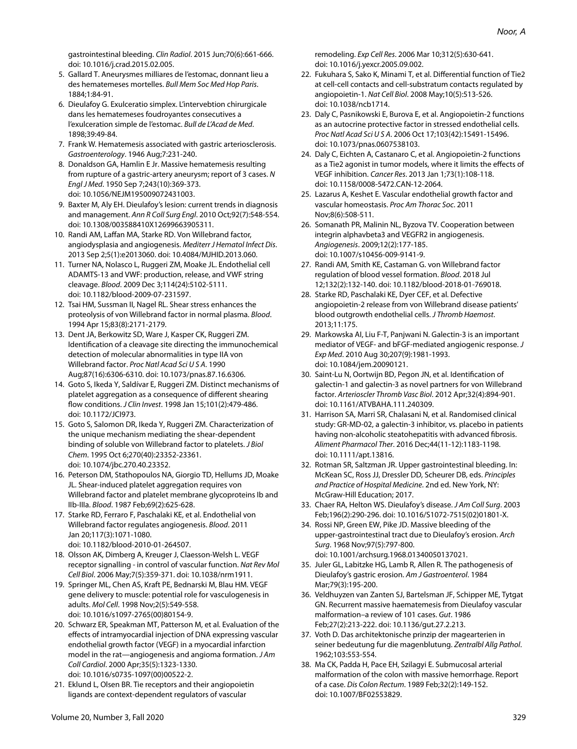<span id="page-3-0"></span>gastrointestinal bleeding. *Clin Radiol*. 2015 Jun;70(6):661-666. doi: 10.1016/j.crad.2015.02.005.

- 5. Gallard T. Aneurysmes milliares de l'estomac, donnant lieu a des hematemeses mortelles. *Bull Mem Soc Med Hop Paris*. 1884;1:84-91.
- 6. Dieulafoy G. Exulceratio simplex. L'intervebtion chirurgicale dans les hematemeses foudroyantes consecutives a l'exulceration simple de l'estomac. *Bull de L'Acad de Med*. 1898;39:49-84.
- 7. Frank W. Hematemesis associated with gastric arteriosclerosis. *Gastroenterology*. 1946 Aug;7:231-240.
- 8. Donaldson GA, Hamlin E Jr. Massive hematemesis resulting from rupture of a gastric-artery aneurysm; report of 3 cases. *N Engl J Med*. 1950 Sep 7;243(10):369-373. doi: 10.1056/NEJM195009072431003.
- 9. Baxter M, Aly EH. Dieulafoy's lesion: current trends in diagnosis and management. *Ann R Coll Surg Engl*. 2010 Oct;92(7):548-554. doi: 10.1308/003588410X12699663905311.
- 10. Randi AM, Laffan MA, Starke RD. Von Willebrand factor, angiodysplasia and angiogenesis. *Mediterr J Hematol Infect Dis*. 2013 Sep 2;5(1):e2013060. doi: 10.4084/MJHID.2013.060.
- 11. Turner NA, Nolasco L, Ruggeri ZM, Moake JL. Endothelial cell ADAMTS-13 and VWF: production, release, and VWF string cleavage. *Blood*. 2009 Dec 3;114(24):5102-5111. doi: 10.1182/blood-2009-07-231597.
- 12. Tsai HM, Sussman II, Nagel RL. Shear stress enhances the proteolysis of von Willebrand factor in normal plasma. *Blood*. 1994 Apr 15;83(8):2171-2179.
- 13. Dent JA, Berkowitz SD, Ware J, Kasper CK, Ruggeri ZM. Identification of a cleavage site directing the immunochemical detection of molecular abnormalities in type IIA von Willebrand factor. *Proc Natl Acad Sci U S A*. 1990 Aug;87(16):6306-6310. doi: 10.1073/pnas.87.16.6306.
- 14. Goto S, Ikeda Y, Saldívar E, Ruggeri ZM. Distinct mechanisms of platelet aggregation as a consequence of different shearing flow conditions. *J Clin Invest*. 1998 Jan 15;101(2):479-486. doi: 10.1172/JCI973.
- 15. Goto S, Salomon DR, Ikeda Y, Ruggeri ZM. Characterization of the unique mechanism mediating the shear-dependent binding of soluble von Willebrand factor to platelets. *J Biol Chem*. 1995 Oct 6;270(40):23352-23361. doi: 10.1074/jbc.270.40.23352.
- 16. Peterson DM, Stathopoulos NA, Giorgio TD, Hellums JD, Moake JL. Shear-induced platelet aggregation requires von Willebrand factor and platelet membrane glycoproteins Ib and IIb-IIIa. *Blood*. 1987 Feb;69(2):625-628.
- 17. Starke RD, Ferraro F, Paschalaki KE, et al. Endothelial von Willebrand factor regulates angiogenesis. *Blood*. 2011 Jan 20;117(3):1071-1080. doi: 10.1182/blood-2010-01-264507.
- 18. Olsson AK, Dimberg A, Kreuger J, Claesson-Welsh L. VEGF receptor signalling - in control of vascular function. *Nat Rev Mol Cell Biol*. 2006 May;7(5):359-371. doi: 10.1038/nrm1911.
- 19. Springer ML, Chen AS, Kraft PE, Bednarski M, Blau HM. VEGF gene delivery to muscle: potential role for vasculogenesis in adults. *Mol Cell*. 1998 Nov;2(5):549-558. doi: 10.1016/s1097-2765(00)80154-9.
- 20. Schwarz ER, Speakman MT, Patterson M, et al. Evaluation of the effects of intramyocardial injection of DNA expressing vascular endothelial growth factor (VEGF) in a myocardial infarction model in the rat—angiogenesis and angioma formation. *J Am Coll Cardiol*. 2000 Apr;35(5):1323-1330. doi: 10.1016/s0735-1097(00)00522-2.
- 21. Eklund L, Olsen BR. Tie receptors and their angiopoietin ligands are context-dependent regulators of vascular

remodeling. *Exp Cell Res*. 2006 Mar 10;312(5):630-641. doi: 10.1016/j.yexcr.2005.09.002.

- 22. Fukuhara S, Sako K, Minami T, et al. Differential function of Tie2 at cell-cell contacts and cell-substratum contacts regulated by angiopoietin-1. *Nat Cell Biol*. 2008 May;10(5):513-526. doi: 10.1038/ncb1714.
- 23. Daly C, Pasnikowski E, Burova E, et al. Angiopoietin-2 functions as an autocrine protective factor in stressed endothelial cells. *Proc Natl Acad Sci U S A*. 2006 Oct 17;103(42):15491-15496. doi: 10.1073/pnas.0607538103.
- 24. Daly C, Eichten A, Castanaro C, et al. Angiopoietin-2 functions as a Tie2 agonist in tumor models, where it limits the effects of VEGF inhibition. *Cancer Res*. 2013 Jan 1;73(1):108-118. doi: 10.1158/0008-5472.CAN-12-2064.
- 25. Lazarus A, Keshet E. Vascular endothelial growth factor and vascular homeostasis. *Proc Am Thorac Soc*. 2011 Nov;8(6):508-511.
- 26. Somanath PR, Malinin NL, Byzova TV. Cooperation between integrin alphavbeta3 and VEGFR2 in angiogenesis. *Angiogenesis*. 2009;12(2):177-185. doi: 10.1007/s10456-009-9141-9.
- 27. Randi AM, Smith KE, Castaman G. von Willebrand factor regulation of blood vessel formation. *Blood*. 2018 Jul 12;132(2):132-140. doi: 10.1182/blood-2018-01-769018.
- 28. Starke RD, Paschalaki KE, Dyer CEF, et al. Defective angiopoietin-2 release from von Willebrand disease patients' blood outgrowth endothelial cells. *J Thromb Haemost*. 2013;11:175.
- 29. Markowska AI, Liu F-T, Panjwani N. Galectin-3 is an important mediator of VEGF- and bFGF-mediated angiogenic response. *J Exp Med*. 2010 Aug 30;207(9):1981-1993. doi: 10.1084/jem.20090121.
- 30. Saint-Lu N, Oortwijn BD, Pegon JN, et al. Identification of galectin-1 and galectin-3 as novel partners for von Willebrand factor. *Arterioscler Thromb Vasc Biol*. 2012 Apr;32(4):894-901. doi: 10.1161/ATVBAHA.111.240309.
- 31. Harrison SA, Marri SR, Chalasani N, et al. Randomised clinical study: GR-MD-02, a galectin-3 inhibitor, vs. placebo in patients having non-alcoholic steatohepatitis with advanced fibrosis. *Aliment Pharmacol Ther*. 2016 Dec;44(11-12):1183-1198. doi: 10.1111/apt.13816.
- 32. Rotman SR, Saltzman JR. Upper gastrointestinal bleeding. In: McKean SC, Ross JJ, Dressler DD, Scheurer DB, eds. *Principles and Practice of Hospital Medicine*. 2nd ed. New York, NY: McGraw-Hill Education; 2017.
- 33. Chaer RA, Helton WS. Dieulafoy's disease. *J Am Coll Surg*. 2003 Feb;196(2):290-296. doi: 10.1016/S1072-7515(02)01801-X.
- 34. Rossi NP, Green EW, Pike JD. Massive bleeding of the upper-gastrointestinal tract due to Dieulafoy's erosion. *Arch Surg*. 1968 Nov;97(5):797-800. doi: 10.1001/archsurg.1968.01340050137021.
- 35. Juler GL, Labitzke HG, Lamb R, Allen R. The pathogenesis of Dieulafoy's gastric erosion. *Am J Gastroenterol*. 1984 Mar;79(3):195-200.
- 36. Veldhuyzen van Zanten SJ, Bartelsman JF, Schipper ME, Tytgat GN. Recurrent massive haematemesis from Dieulafoy vascular malformation–a review of 101 cases. *Gut*. 1986 Feb;27(2):213-222. doi: 10.1136/gut.27.2.213.
- 37. Voth D. Das architektonische prinzip der magearterien in seiner bedeutung fur die magenblutung. *Zentralbl Allg Pathol*. 1962;103:553-554.
- 38. Ma CK, Padda H, Pace EH, Szilagyi E. Submucosal arterial malformation of the colon with massive hemorrhage. Report of a case. *Dis Colon Rectum*. 1989 Feb;32(2):149-152. doi: 10.1007/BF02553829.